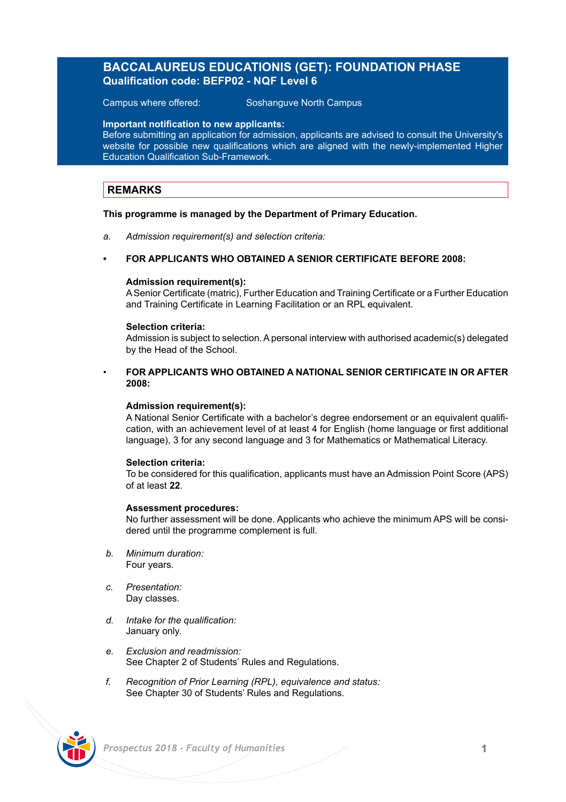# **BACCALAUREUS EDUCATIONIS (GET): FOUNDATION PHASE Qualification code: BEFP02 - NQF Level 6**

Campus where offered: Soshanguve North Campus

**Important notification to new applicants:**

Before submitting an application for admission, applicants are advised to consult the University's website for possible new qualifications which are aligned with the newly-implemented Higher Education Qualification Sub-Framework.

### **REMARKS**

### **This programme is managed by the Department of Primary Education.**

*a. Admission requirement(s) and selection criteria:*

### **• FOR APPLICANTS WHO OBTAINED A SENIOR CERTIFICATE BEFORE 2008:**

### **Admission requirement(s):**

A Senior Certificate (matric), Further Education and Training Certificate or a Further Education and Training Certificate in Learning Facilitation or an RPL equivalent.

### **Selection criteria:**

Admission is subject to selection. A personal interview with authorised academic(s) delegated by the Head of the School.

### • **FOR APPLICANTS WHO OBTAINED A NATIONAL SENIOR CERTIFICATE IN OR AFTER 2008:**

### **Admission requirement(s):**

A National Senior Certificate with a bachelor's degree endorsement or an equivalent qualification, with an achievement level of at least 4 for English (home language or first additional language), 3 for any second language and 3 for Mathematics or Mathematical Literacy.

### **Selection criteria:**

To be considered for this qualification, applicants must have an Admission Point Score (APS) of at least **22**.

### **Assessment procedures:**

No further assessment will be done. Applicants who achieve the minimum APS will be considered until the programme complement is full.

- *b. Minimum duration:* Four years.
- *c. Presentation:*  Day classes.
- *d. Intake for the qualification:* January only.
- *e. Exclusion and readmission:* See Chapter 2 of Students' Rules and Regulations.
- *f. Recognition of Prior Learning (RPL), equivalence and status:* See Chapter 30 of Students' Rules and Regulations.

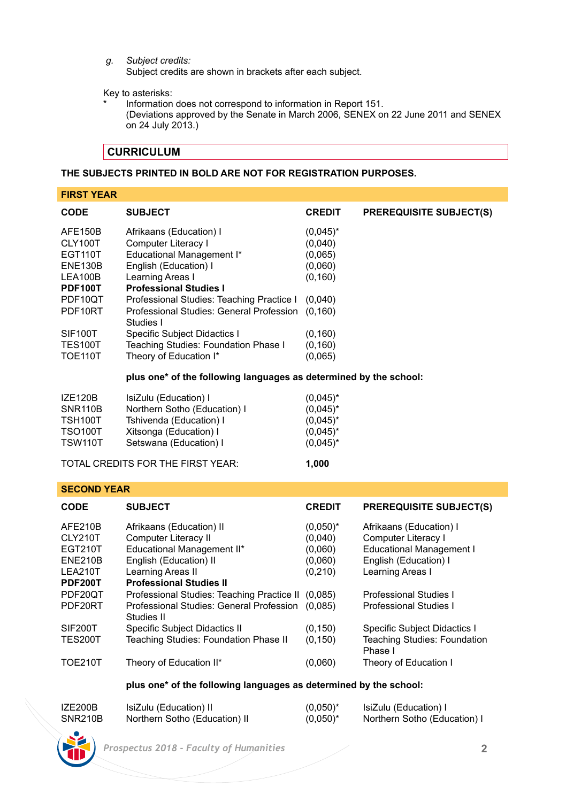*g. Subject credits:*

Subject credits are shown in brackets after each subject.

Key to asterisks:

Information does not correspond to information in Report 151. (Deviations approved by the Senate in March 2006, SENEX on 22 June 2011 and SENEX on 24 July 2013.)

# **CURRICULUM**

### **THE SUBJECTS PRINTED IN BOLD ARE NOT FOR REGISTRATION PURPOSES.**

| <b>FIRST YEAR</b> |                                                       |               |                                |
|-------------------|-------------------------------------------------------|---------------|--------------------------------|
| <b>CODE</b>       | <b>SUBJECT</b>                                        | <b>CREDIT</b> | <b>PREREQUISITE SUBJECT(S)</b> |
| AFE150B           | Afrikaans (Education) I                               | $(0.045)^*$   |                                |
| CLY100T           | Computer Literacy I                                   | (0,040)       |                                |
| <b>EGT110T</b>    | Educational Management I*                             | (0,065)       |                                |
| <b>ENE130B</b>    | English (Education) I                                 | (0,060)       |                                |
| LEA100B           | Learning Areas I                                      | (0, 160)      |                                |
| <b>PDF100T</b>    | <b>Professional Studies I</b>                         |               |                                |
| PDF10QT           | Professional Studies: Teaching Practice I             | (0,040)       |                                |
| PDF10RT           | Professional Studies: General Profession<br>Studies I | (0.160)       |                                |
| <b>SIF100T</b>    | Specific Subject Didactics I                          | (0, 160)      |                                |
| <b>TES100T</b>    | Teaching Studies: Foundation Phase I                  | (0, 160)      |                                |
| <b>TOE110T</b>    | Theory of Education I*                                | (0,065)       |                                |

### **plus one\* of the following languages as determined by the school:**

| <b>TSW110T</b>            | Setswana (Education) I                            | $(0.045)^*$                |
|---------------------------|---------------------------------------------------|----------------------------|
| TSH100T<br><b>TSO100T</b> | Tshivenda (Education) I<br>Xitsonga (Education) I | $(0.045)^*$<br>$(0.045)^*$ |
| <b>SNR110B</b>            | Northern Sotho (Education) I                      | $(0.045)^*$                |
| IZE120B                   | IsiZulu (Education) I                             | $(0.045)^*$                |

### **SECOND YEAR**

| <b>CODE</b>    | <b>SUBJECT</b>                             | <b>CREDIT</b> | <b>PREREQUISITE SUBJECT(S)</b>          |
|----------------|--------------------------------------------|---------------|-----------------------------------------|
| AFE210B        | Afrikaans (Education) II                   | $(0.050)^*$   | Afrikaans (Education) I                 |
| CLY210T        | Computer Literacy II                       | (0,040)       | Computer Literacy I                     |
| EGT210T        | Educational Management II*                 | (0,060)       | <b>Educational Management I</b>         |
| <b>ENE210B</b> | English (Education) II                     | (0,060)       | English (Education) I                   |
| LEA210T        | Learning Areas II                          | (0, 210)      | Learning Areas I                        |
| <b>PDF200T</b> | <b>Professional Studies II</b>             |               |                                         |
| PDF20OT        | Professional Studies: Teaching Practice II | (0.085)       | Professional Studies I                  |
| PDF20RT        | Professional Studies: General Profession   | (0.085)       | <b>Professional Studies I</b>           |
|                | Studies II                                 |               |                                         |
| SIF200T        | Specific Subject Didactics II              | (0, 150)      | Specific Subject Didactics I            |
| <b>TES200T</b> | Teaching Studies: Foundation Phase II      | (0, 150)      | Teaching Studies: Foundation<br>Phase I |
| <b>TOE210T</b> | Theory of Education II*                    | (0,060)       | Theory of Education I                   |

### **plus one\* of the following languages as determined by the school:**

| IZE200B | IsiZulu (Education) II        | $(0.050)^*$ | IsiZulu (Education) I        |
|---------|-------------------------------|-------------|------------------------------|
| SNR210B | Northern Sotho (Education) II | $(0.050)^*$ | Northern Sotho (Education) I |

 *Prospectus 2018 - Faculty of Humanities* **2**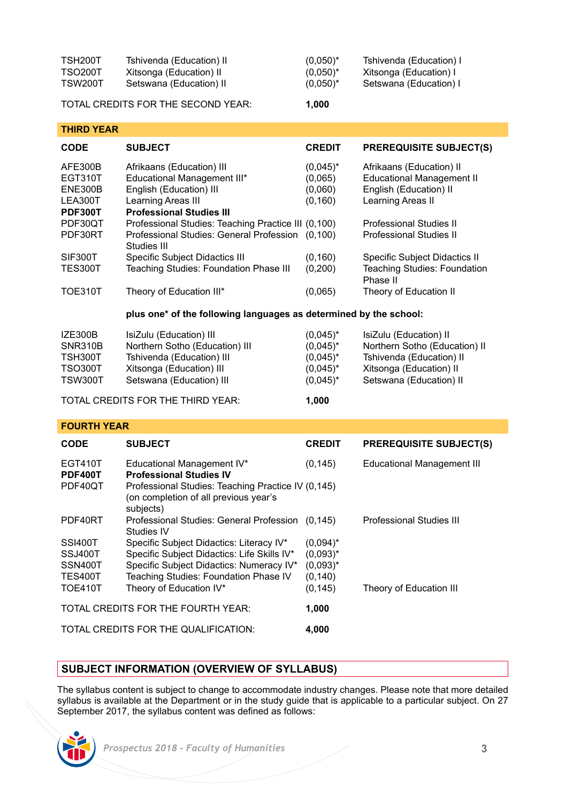| TSH200T        | Tshivenda (Education) II | $(0.050)^*$ | Tshivenda (Education) I |
|----------------|--------------------------|-------------|-------------------------|
| <b>TSO200T</b> | Xitsonga (Education) II  | $(0.050)^*$ | Xitsonga (Education) I  |
| TSW200T        | Setswana (Education) II  | $(0.050)^*$ | Setswana (Education) I  |

TOTAL CREDITS FOR THE SECOND YEAR: **1,000**

| <b>THIRD YEAR</b> |                                                         |               |                                                 |
|-------------------|---------------------------------------------------------|---------------|-------------------------------------------------|
| <b>CODE</b>       | <b>SUBJECT</b>                                          | <b>CREDIT</b> | <b>PREREQUISITE SUBJECT(S)</b>                  |
| AFE300B           | Afrikaans (Education) III                               | $(0.045)^*$   | Afrikaans (Education) II                        |
| EGT310T           | Educational Management III*                             | (0.065)       | <b>Educational Management II</b>                |
| <b>ENE300B</b>    | English (Education) III                                 | (0,060)       | English (Education) II                          |
| LEA300T           | Learning Areas III                                      | (0, 160)      | Learning Areas II                               |
| <b>PDF300T</b>    | <b>Professional Studies III</b>                         |               |                                                 |
| PDF30QT           | Professional Studies: Teaching Practice III (0,100)     |               | Professional Studies II                         |
| PDF30RT           | Professional Studies: General Profession<br>Studies III | (0.100)       | Professional Studies II                         |
| SIF300T           | Specific Subject Didactics III                          | (0, 160)      | <b>Specific Subject Didactics II</b>            |
| <b>TES300T</b>    | <b>Teaching Studies: Foundation Phase III</b>           | (0,200)       | <b>Teaching Studies: Foundation</b><br>Phase II |
| <b>TOE310T</b>    | Theory of Education III*                                | (0,065)       | Theory of Education II                          |

### **plus one\* of the following languages as determined by the school:**

| IZE300B        | IsiZulu (Education) III           | $(0.045)^*$ | IsiZulu (Education) II        |
|----------------|-----------------------------------|-------------|-------------------------------|
| SNR310B        | Northern Sotho (Education) III    | $(0.045)^*$ | Northern Sotho (Education) II |
| TSH300T        | Tshivenda (Education) III         | $(0.045)^*$ | Tshivenda (Education) II      |
| <b>TSO300T</b> | Xitsonga (Education) III          | $(0.045)^*$ | Xitsonga (Education) II       |
| <b>TSW300T</b> | Setswana (Education) III          | $(0.045)^*$ | Setswana (Education) II       |
|                | TOTAL CREDITS FOR THE THIRD YEAR: | 1.000       |                               |

### **FOURTH YEAR**

| <b>CODE</b>                                                              | <b>SUBJECT</b>                                                                                                                                                                                          | <b>CREDIT</b>                                                     | <b>PREREQUISITE SUBJECT(S)</b>    |
|--------------------------------------------------------------------------|---------------------------------------------------------------------------------------------------------------------------------------------------------------------------------------------------------|-------------------------------------------------------------------|-----------------------------------|
| EGT410T<br><b>PDF400T</b><br>PDF40QT                                     | Educational Management IV*<br><b>Professional Studies IV</b><br>Professional Studies: Teaching Practice IV (0,145)<br>(on completion of all previous year's                                             | (0, 145)                                                          | <b>Educational Management III</b> |
| PDF40RT                                                                  | subjects)<br>Professional Studies: General Profession<br>Studies IV                                                                                                                                     | (0.145)                                                           | Professional Studies III          |
| <b>SSI400T</b><br>SSJ400T<br>SSN400T<br><b>TES400T</b><br><b>TOE410T</b> | Specific Subject Didactics: Literacy IV*<br>Specific Subject Didactics: Life Skills IV*<br>Specific Subject Didactics: Numeracy IV*<br>Teaching Studies: Foundation Phase IV<br>Theory of Education IV* | $(0.094)^*$<br>$(0.093)^*$<br>$(0.093)^*$<br>(0, 140)<br>(0, 145) | Theory of Education III           |
|                                                                          | TOTAL CREDITS FOR THE FOURTH YEAR:                                                                                                                                                                      | 1.000                                                             |                                   |
|                                                                          | TOTAL CREDITS FOR THE QUALIFICATION:                                                                                                                                                                    | 4.000                                                             |                                   |

### **SUBJECT INFORMATION (OVERVIEW OF SYLLABUS)**

The syllabus content is subject to change to accommodate industry changes. Please note that more detailed syllabus is available at the Department or in the study guide that is applicable to a particular subject. On 27 September 2017, the syllabus content was defined as follows:

 *Prospectus 2018 - Faculty of Humanities* **3**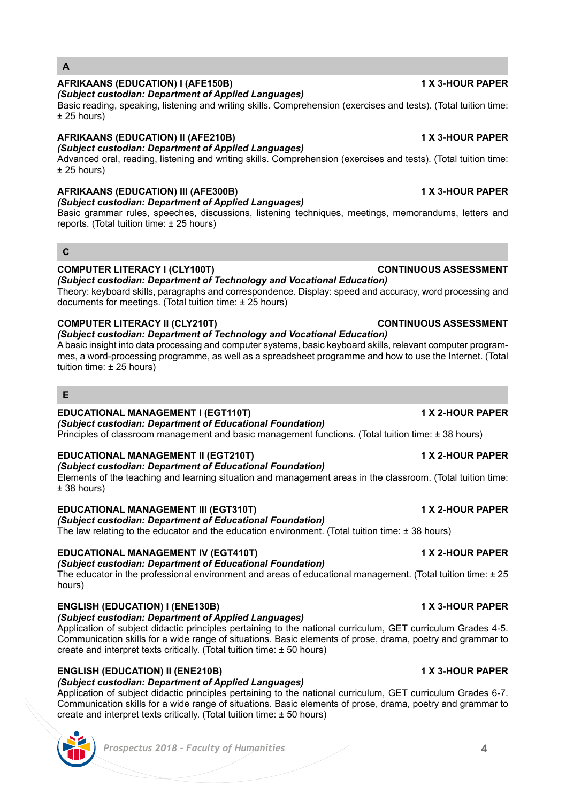create and interpret texts critically. (Total tuition time: ± 50 hours)

# **ENGLISH (EDUCATION) II (ENE210B) 1 X 3-HOUR PAPER**

*(Subject custodian: Department of Applied Languages)* Application of subject didactic principles pertaining to the national curriculum, GET curriculum Grades 6-7. Communication skills for a wide range of situations. Basic elements of prose, drama, poetry and grammar to create and interpret texts critically. (Total tuition time:  $\pm$  50 hours)

# *(Subject custodian: Department of Applied Languages)*

**EDUCATIONAL MANAGEMENT IV (EGT410T) 1 X 2-HOUR PAPER** *(Subject custodian: Department of Educational Foundation)*

The educator in the professional environment and areas of educational management. (Total tuition time: ± 25 hours)

Communication skills for a wide range of situations. Basic elements of prose, drama, poetry and grammar to

# **EDUCATIONAL MANAGEMENT II (EGT210T) 1 X 2-HOUR PAPER**

*(Subject custodian: Department of Educational Foundation)*

*(Subject custodian: Department of Educational Foundation)* Elements of the teaching and learning situation and management areas in the classroom. (Total tuition time: ± 38 hours)

**EDUCATIONAL MANAGEMENT III (EGT310T) 1 X 2-HOUR PAPER**

*(Subject custodian: Department of Educational Foundation)*

The law relating to the educator and the education environment. (Total tuition time:  $\pm$  38 hours)

# **COMPUTER LITERACY I (CLY100T) CONTINUOUS ASSESSMENT**

*(Subject custodian: Department of Technology and Vocational Education)*  Theory: keyboard skills, paragraphs and correspondence. Display: speed and accuracy, word processing and

*(Subject custodian: Department of Technology and Vocational Education)*  A basic insight into data processing and computer systems, basic keyboard skills, relevant computer program-

mes, a word-processing programme, as well as a spreadsheet programme and how to use the Internet. (Total

tuition time: ± 25 hours)

documents for meetings. (Total tuition time: ± 25 hours) **COMPUTER LITERACY II (CLY210T) CONTINUOUS ASSESSMENT** 

### Basic reading, speaking, listening and writing skills. Comprehension (exercises and tests). (Total tuition time:  $± 25$  hours)

# **AFRIKAANS (EDUCATION) II (AFE210B) 1 X 3-HOUR PAPER**

*(Subject custodian: Department of Applied Languages)* Advanced oral, reading, listening and writing skills. Comprehension (exercises and tests). (Total tuition time:

**AFRIKAANS (EDUCATION) I (AFE150B) 1 X 3-HOUR PAPER**

# ± 25 hours)

*(Subject custodian: Department of Applied Languages)*

## **AFRIKAANS (EDUCATION) III (AFE300B) 1 X 3-HOUR PAPER**

*(Subject custodian: Department of Applied Languages)*

Basic grammar rules, speeches, discussions, listening techniques, meetings, memorandums, letters and reports. (Total tuition time: ± 25 hours)

# **C**

**E**

**A**

# Principles of classroom management and basic management functions. (Total tuition time: ± 38 hours)

# **EDUCATIONAL MANAGEMENT I (EGT110T) 1 X 2-HOUR PAPER**

# **ENGLISH (EDUCATION) I (ENE130B) 1 X 3-HOUR PAPER**

# Application of subject didactic principles pertaining to the national curriculum, GET curriculum Grades 4-5.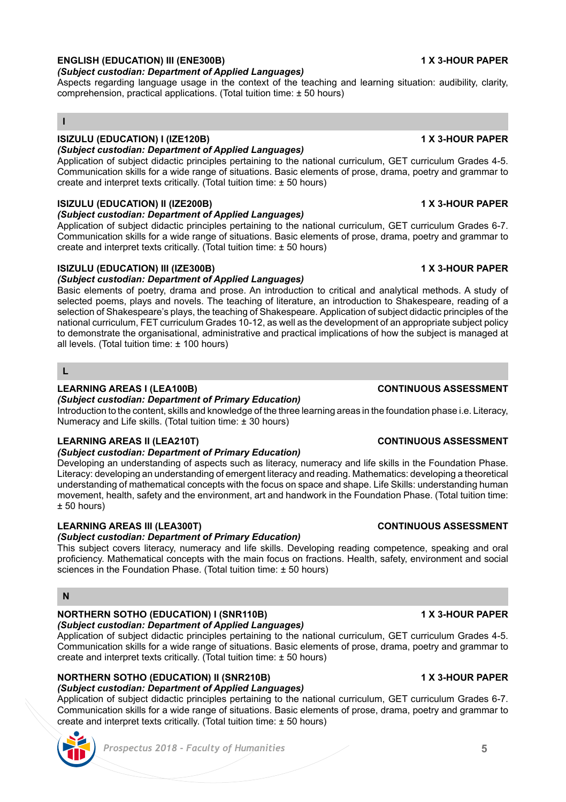# **ENGLISH (EDUCATION) III (ENE300B) 1 X 3-HOUR PAPER**

*(Subject custodian: Department of Applied Languages)*

Aspects regarding language usage in the context of the teaching and learning situation: audibility, clarity, comprehension, practical applications. (Total tuition time: ± 50 hours)

## **I**

# **ISIZULU (EDUCATION) I (IZE120B) 1 X 3-HOUR PAPER**

# *(Subject custodian: Department of Applied Languages)*

Application of subject didactic principles pertaining to the national curriculum, GET curriculum Grades 4-5. Communication skills for a wide range of situations. Basic elements of prose, drama, poetry and grammar to create and interpret texts critically. (Total tuition time: ± 50 hours)

# **ISIZULU (EDUCATION) II (IZE200B) 1 X 3-HOUR PAPER**

*(Subject custodian: Department of Applied Languages)*

Application of subject didactic principles pertaining to the national curriculum, GET curriculum Grades 6-7. Communication skills for a wide range of situations. Basic elements of prose, drama, poetry and grammar to create and interpret texts critically. (Total tuition time:  $\pm$  50 hours)

# **ISIZULU (EDUCATION) III (IZE300B) 1 X 3-HOUR PAPER**

# *(Subject custodian: Department of Applied Languages)*

Basic elements of poetry, drama and prose. An introduction to critical and analytical methods. A study of selected poems, plays and novels. The teaching of literature, an introduction to Shakespeare, reading of a selection of Shakespeare's plays, the teaching of Shakespeare. Application of subject didactic principles of the national curriculum, FET curriculum Grades 10-12, as well as the development of an appropriate subject policy to demonstrate the organisational, administrative and practical implications of how the subject is managed at all levels. (Total tuition time: ± 100 hours)

### **L**

## **LEARNING AREAS I (LEA100B) CONTINUOUS ASSESSMENT**

# *(Subject custodian: Department of Primary Education)*

Introduction to the content, skills and knowledge of the three learning areas in the foundation phase i.e. Literacy, Numeracy and Life skills. (Total tuition time: ± 30 hours)

# **LEARNING AREAS II (LEA210T) CONTINUOUS ASSESSMENT**

# *(Subject custodian: Department of Primary Education)*

Developing an understanding of aspects such as literacy, numeracy and life skills in the Foundation Phase. Literacy: developing an understanding of emergent literacy and reading. Mathematics: developing a theoretical understanding of mathematical concepts with the focus on space and shape. Life Skills: understanding human movement, health, safety and the environment, art and handwork in the Foundation Phase. (Total tuition time:  $+50$  hours)

# **LEARNING AREAS III (LEA300T) CONTINUOUS ASSESSMENT**

# *(Subject custodian: Department of Primary Education)*

This subject covers literacy, numeracy and life skills. Developing reading competence, speaking and oral proficiency. Mathematical concepts with the main focus on fractions. Health, safety, environment and social sciences in the Foundation Phase. (Total tuition time: ± 50 hours)

### **N**

# **NORTHERN SOTHO (EDUCATION) I (SNR110B) 1 X 3-HOUR PAPER**

*(Subject custodian: Department of Applied Languages)* Application of subject didactic principles pertaining to the national curriculum, GET curriculum Grades 4-5. Communication skills for a wide range of situations. Basic elements of prose, drama, poetry and grammar to create and interpret texts critically. (Total tuition time: ± 50 hours)

# **NORTHERN SOTHO (EDUCATION) II (SNR210B) 1 X 3-HOUR PAPER**

# *(Subject custodian: Department of Applied Languages)*

Application of subject didactic principles pertaining to the national curriculum, GET curriculum Grades 6-7. Communication skills for a wide range of situations. Basic elements of prose, drama, poetry and grammar to create and interpret texts critically. (Total tuition time: ± 50 hours)

### *Prospectus 2018 - Faculty of Humanities* **5**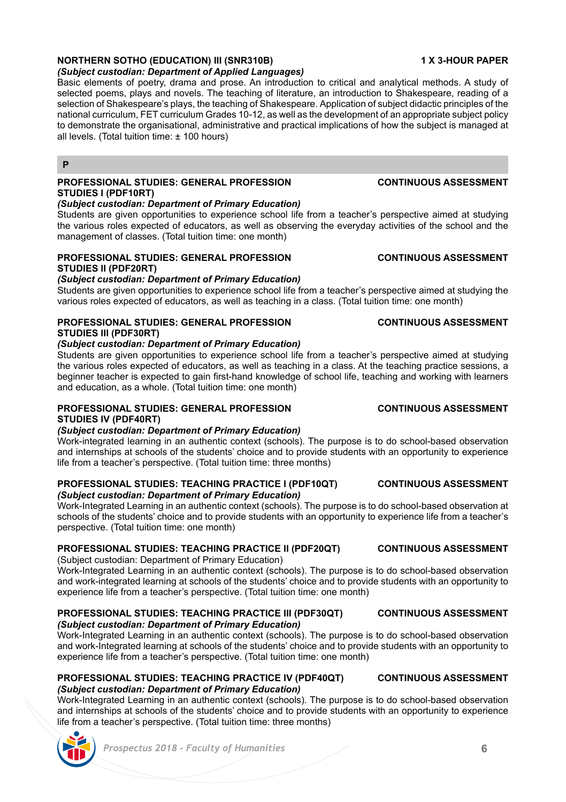### **NORTHERN SOTHO (EDUCATION) III (SNR310B) 1 X 3-HOUR PAPER** *(Subject custodian: Department of Applied Languages)*

Basic elements of poetry, drama and prose. An introduction to critical and analytical methods. A study of selected poems, plays and novels. The teaching of literature, an introduction to Shakespeare, reading of a selection of Shakespeare's plays, the teaching of Shakespeare. Application of subject didactic principles of the national curriculum, FET curriculum Grades 10-12, as well as the development of an appropriate subject policy to demonstrate the organisational, administrative and practical implications of how the subject is managed at all levels. (Total tuition time: ± 100 hours)

### **P**

# **PROFESSIONAL STUDIES: GENERAL PROFESSION CONTINUOUS ASSESSMENT STUDIES I (PDF10RT)**

### *(Subject custodian: Department of Primary Education)*

Students are given opportunities to experience school life from a teacher's perspective aimed at studying the various roles expected of educators, as well as observing the everyday activities of the school and the management of classes. (Total tuition time: one month)

# **PROFESSIONAL STUDIES: GENERAL PROFESSION CONTINUOUS ASSESSMENT STUDIES II (PDF20RT)**

### *(Subject custodian: Department of Primary Education)*

Students are given opportunities to experience school life from a teacher's perspective aimed at studying the various roles expected of educators, as well as teaching in a class. (Total tuition time: one month)

### **PROFESSIONAL STUDIES: GENERAL PROFESSION CONTINUOUS ASSESSMENT STUDIES III (PDF30RT)**

### *(Subject custodian: Department of Primary Education)*

Students are given opportunities to experience school life from a teacher's perspective aimed at studying the various roles expected of educators, as well as teaching in a class. At the teaching practice sessions, a beginner teacher is expected to gain first-hand knowledge of school life, teaching and working with learners and education, as a whole. (Total tuition time: one month)

# **PROFESSIONAL STUDIES: GENERAL PROFESSION CONTINUOUS ASSESSMENT STUDIES IV (PDF40RT)**

### *(Subject custodian: Department of Primary Education)*

Work-integrated learning in an authentic context (schools). The purpose is to do school-based observation and internships at schools of the students' choice and to provide students with an opportunity to experience life from a teacher's perspective. (Total tuition time: three months)

### **PROFESSIONAL STUDIES: TEACHING PRACTICE I (PDF10QT) CONTINUOUS ASSESSMENT** *(Subject custodian: Department of Primary Education)*

Work-Integrated Learning in an authentic context (schools). The purpose is to do school-based observation at schools of the students' choice and to provide students with an opportunity to experience life from a teacher's perspective. (Total tuition time: one month)

### **PROFESSIONAL STUDIES: TEACHING PRACTICE II (PDF20QT) CONTINUOUS ASSESSMENT**

(Subject custodian: Department of Primary Education)

Work-Integrated Learning in an authentic context (schools). The purpose is to do school-based observation and work-integrated learning at schools of the students' choice and to provide students with an opportunity to experience life from a teacher's perspective. (Total tuition time: one month)

### **PROFESSIONAL STUDIES: TEACHING PRACTICE III (PDF30QT) CONTINUOUS ASSESSMENT** *(Subject custodian: Department of Primary Education)*

Work-Integrated Learning in an authentic context (schools). The purpose is to do school-based observation and work-Integrated learning at schools of the students' choice and to provide students with an opportunity to experience life from a teacher's perspective. (Total tuition time: one month)

### **PROFESSIONAL STUDIES: TEACHING PRACTICE IV (PDF40QT) CONTINUOUS ASSESSMENT** *(Subject custodian: Department of Primary Education)*

Work-Integrated Learning in an authentic context (schools). The purpose is to do school-based observation and internships at schools of the students' choice and to provide students with an opportunity to experience life from a teacher's perspective. (Total tuition time: three months)

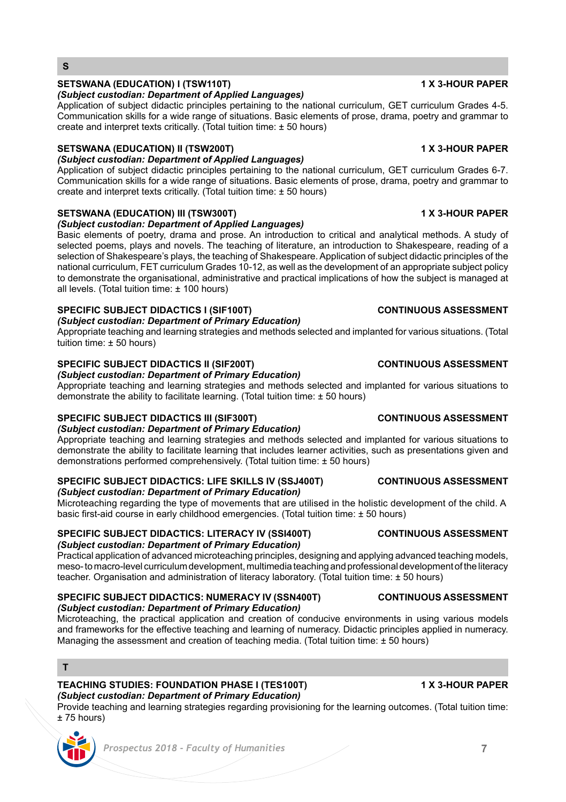# *Prospectus 2018 - Faculty of Humanities* **7**

## **SETSWANA (EDUCATION) I (TSW110T) 1 X 3-HOUR PAPER**

**S**

### *(Subject custodian: Department of Applied Languages)*

Application of subject didactic principles pertaining to the national curriculum, GET curriculum Grades 4-5. Communication skills for a wide range of situations. Basic elements of prose, drama, poetry and grammar to create and interpret texts critically. (Total tuition time:  $\pm$  50 hours)

### **SETSWANA (EDUCATION) II (TSW200T) 1 X 3-HOUR PAPER**

### *(Subject custodian: Department of Applied Languages)*

Application of subject didactic principles pertaining to the national curriculum, GET curriculum Grades 6-7. Communication skills for a wide range of situations. Basic elements of prose, drama, poetry and grammar to create and interpret texts critically. (Total tuition time: ± 50 hours)

## **SETSWANA (EDUCATION) III (TSW300T) 1 X 3-HOUR PAPER**

*(Subject custodian: Department of Applied Languages)*

Basic elements of poetry, drama and prose. An introduction to critical and analytical methods. A study of selected poems, plays and novels. The teaching of literature, an introduction to Shakespeare, reading of a selection of Shakespeare's plays, the teaching of Shakespeare. Application of subject didactic principles of the national curriculum, FET curriculum Grades 10-12, as well as the development of an appropriate subject policy to demonstrate the organisational, administrative and practical implications of how the subject is managed at all levels. (Total tuition time: ± 100 hours)

### **SPECIFIC SUBJECT DIDACTICS I (SIF100T) CONTINUOUS ASSESSMENT**

*(Subject custodian: Department of Primary Education)*

Appropriate teaching and learning strategies and methods selected and implanted for various situations. (Total tuition time: ± 50 hours)

# **SPECIFIC SUBJECT DIDACTICS II (SIF200T) CONTINUOUS ASSESSMENT**

*(Subject custodian: Department of Primary Education)*

Appropriate teaching and learning strategies and methods selected and implanted for various situations to demonstrate the ability to facilitate learning. (Total tuition time:  $\pm$  50 hours)

# **SPECIFIC SUBJECT DIDACTICS III (SIF300T) CONTINUOUS ASSESSMENT**

*(Subject custodian: Department of Primary Education)*

Appropriate teaching and learning strategies and methods selected and implanted for various situations to demonstrate the ability to facilitate learning that includes learner activities, such as presentations given and demonstrations performed comprehensively. (Total tuition time: ± 50 hours)

### **SPECIFIC SUBJECT DIDACTICS: LIFE SKILLS IV (SSJ400T) CONTINUOUS ASSESSMENT** *(Subject custodian: Department of Primary Education)*

Microteaching regarding the type of movements that are utilised in the holistic development of the child. A basic first-aid course in early childhood emergencies. (Total tuition time: ± 50 hours)

### **SPECIFIC SUBJECT DIDACTICS: LITERACY IV (SSI400T) CONTINUOUS ASSESSMENT** *(Subject custodian: Department of Primary Education)*

Practical application of advanced microteaching principles, designing and applying advanced teaching models, meso- to macro-level curriculum development, multimedia teaching and professional development of the literacy teacher. Organisation and administration of literacy laboratory. (Total tuition time: ± 50 hours)

### **SPECIFIC SUBJECT DIDACTICS: NUMERACY IV (SSN400T) CONTINUOUS ASSESSMENT** *(Subject custodian: Department of Primary Education)*

Microteaching, the practical application and creation of conducive environments in using various models and frameworks for the effective teaching and learning of numeracy. Didactic principles applied in numeracy. Managing the assessment and creation of teaching media. (Total tuition time: ± 50 hours)

# **T**

### **TEACHING STUDIES: FOUNDATION PHASE I (TES100T) 1 X 3-HOUR PAPER** *(Subject custodian: Department of Primary Education)*

Provide teaching and learning strategies regarding provisioning for the learning outcomes. (Total tuition time: ± 75 hours)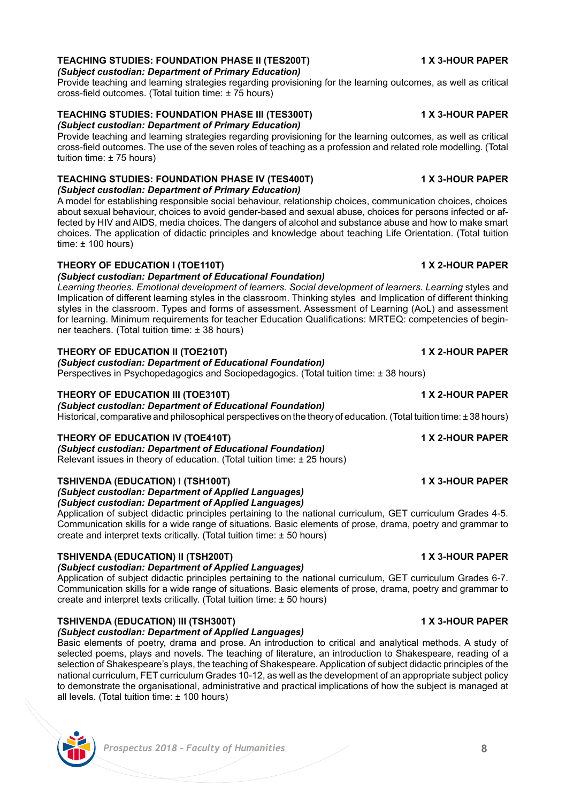### **TEACHING STUDIES: FOUNDATION PHASE II (TES200T) 1 X 3-HOUR PAPER** *(Subject custodian: Department of Primary Education)*

Provide teaching and learning strategies regarding provisioning for the learning outcomes, as well as critical cross-field outcomes. (Total tuition time: ± 75 hours)

### **TEACHING STUDIES: FOUNDATION PHASE III (TES300T) 1 X 3-HOUR PAPER** *(Subject custodian: Department of Primary Education)*

Provide teaching and learning strategies regarding provisioning for the learning outcomes, as well as critical cross-field outcomes. The use of the seven roles of teaching as a profession and related role modelling. (Total tuition time: ± 75 hours)

### **TEACHING STUDIES: FOUNDATION PHASE IV (TES400T) 1 X 3-HOUR PAPER** *(Subject custodian: Department of Primary Education)*

A model for establishing responsible social behaviour, relationship choices, communication choices, choices about sexual behaviour, choices to avoid gender-based and sexual abuse, choices for persons infected or affected by HIV and AIDS, media choices. The dangers of alcohol and substance abuse and how to make smart choices. The application of didactic principles and knowledge about teaching Life Orientation. (Total tuition time:  $± 100$  hours)

### **THEORY OF EDUCATION I (TOE110T) 1 X 2-HOUR PAPER**

### *(Subject custodian: Department of Educational Foundation)*

*Learning theories. Emotional development of learners. Social development of learners. Learning* styles and Implication of different learning styles in the classroom. Thinking styles and Implication of different thinking styles in the classroom. Types and forms of assessment. Assessment of Learning (AoL) and assessment for learning. Minimum requirements for teacher Education Qualifications: MRTEQ: competencies of beginner teachers. (Total tuition time: ± 38 hours)

### **THEORY OF EDUCATION II (TOE210T) 1 X 2-HOUR PAPER**

### *(Subject custodian: Department of Educational Foundation)*

Perspectives in Psychopedagogics and Sociopedagogics. (Total tuition time: ± 38 hours)

### **THEORY OF EDUCATION III (TOE310T) 1 X 2-HOUR PAPER**

### *(Subject custodian: Department of Educational Foundation)*

Historical, comparative and philosophical perspectives on the theory of education. (Total tuition time: ± 38 hours)

### **THEORY OF EDUCATION IV (TOE410T) 1 X 2-HOUR PAPER**

*(Subject custodian: Department of Educational Foundation)* Relevant issues in theory of education. (Total tuition time: ± 25 hours)

### **TSHIVENDA (EDUCATION) I (TSH100T) 1 X 3-HOUR PAPER**

*(Subject custodian: Department of Applied Languages) (Subject custodian: Department of Applied Languages)*

Application of subject didactic principles pertaining to the national curriculum, GET curriculum Grades 4-5. Communication skills for a wide range of situations. Basic elements of prose, drama, poetry and grammar to create and interpret texts critically. (Total tuition time: ± 50 hours)

### **TSHIVENDA (EDUCATION) II (TSH200T) 1 X 3-HOUR PAPER**

# *(Subject custodian: Department of Applied Languages)*

Application of subject didactic principles pertaining to the national curriculum, GET curriculum Grades 6-7. Communication skills for a wide range of situations. Basic elements of prose, drama, poetry and grammar to create and interpret texts critically. (Total tuition time:  $\pm$  50 hours)

# **TSHIVENDA (EDUCATION) III (TSH300T) 1 X 3-HOUR PAPER**

# *(Subject custodian: Department of Applied Languages)*

Basic elements of poetry, drama and prose. An introduction to critical and analytical methods. A study of selected poems, plays and novels. The teaching of literature, an introduction to Shakespeare, reading of a selection of Shakespeare's plays, the teaching of Shakespeare. Application of subject didactic principles of the national curriculum, FET curriculum Grades 10-12, as well as the development of an appropriate subject policy to demonstrate the organisational, administrative and practical implications of how the subject is managed at all levels. (Total tuition time: ± 100 hours)